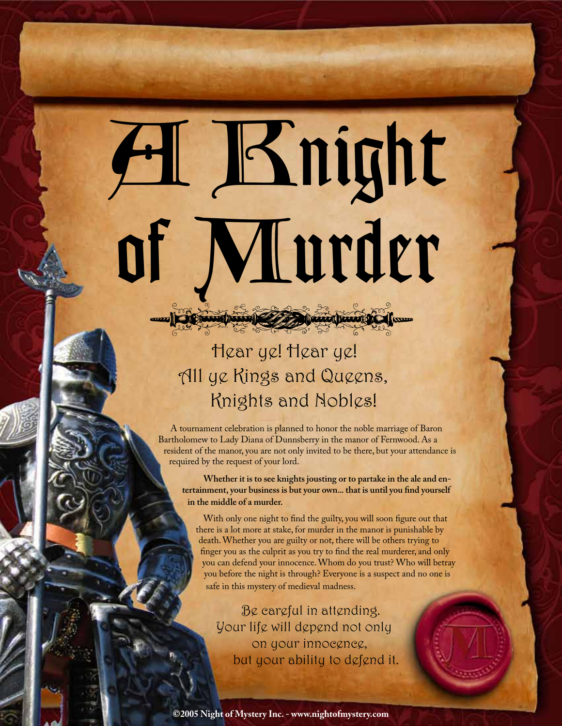A Knight of Murder

> Hear ye! Hear ye! All ye Kings and Queens, Knights and Nobles!

and the state of the state of the state of the state of the state of the state of the state of the state of the

A tournament celebration is planned to honor the noble marriage of Baron Bartholomew to Lady Diana of Dunnsberry in the manor of Fernwood. As a resident of the manor, you are not only invited to be there, but your attendance is required by the request of your lord.

**Whether it is to see knights jousting or to partake in the ale and entertainment, your business is but your own... that is until you find yourself in the middle of a murder.** 

With only one night to find the guilty, you will soon figure out that there is a lot more at stake, for murder in the manor is punishable by death. Whether you are guilty or not, there will be others trying to finger you as the culprit as you try to find the real murderer, and only you can defend your innocence. Whom do you trust? Who will betray you before the night is through? Everyone is a suspect and no one is safe in this mystery of medieval madness.

Be careful in attending. Your life will depend not only on your innocence, but your ability to defend it.

**©2005 Night of Mystery Inc. - www.nightofmystery.com**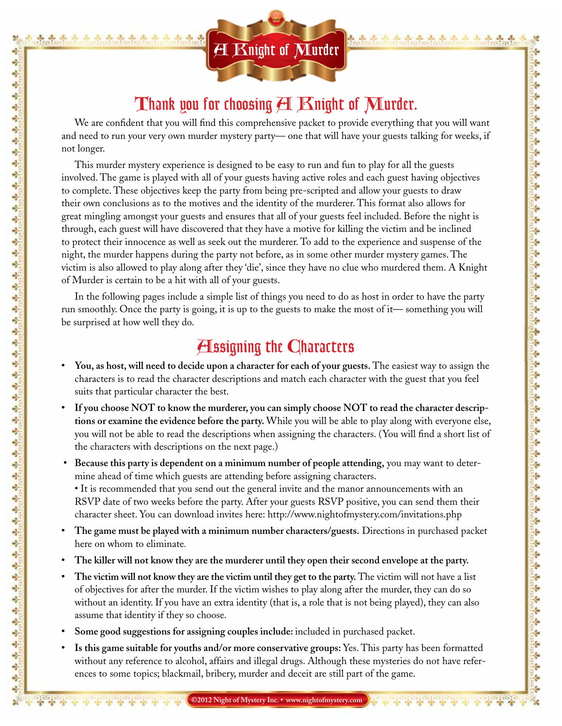

製  $\frac{1}{2}$ 喽

o)

÷

÷ ٨ ÷

÷

Ą

Ą

ą,

a) ÷

÷

ą, Ą

÷

÷

d,

÷

÷

Ą

Ą

ağ.

÷

÷ ÷

÷

÷

a)

٩

٥

Ą

÷

۵

٩

Ą

4

ą

۵

÷

٩

٠

÷

÷

٩

÷,

۵

÷

٩

۹

٩

4

4

ą, ۹

e).

÷,

#### Thank you for choosing  $H$   $\mathbb R$ night of  $\mathbb M$ urder.

We are confident that you will find this comprehensive packet to provide everything that you will want and need to run your very own murder mystery party— one that will have your guests talking for weeks, if not longer.

This murder mystery experience is designed to be easy to run and fun to play for all the guests involved. The game is played with all of your guests having active roles and each guest having objectives to complete. These objectives keep the party from being pre-scripted and allow your guests to draw their own conclusions as to the motives and the identity of the murderer. This format also allows for great mingling amongst your guests and ensures that all of your guests feel included. Before the night is through, each guest will have discovered that they have a motive for killing the victim and be inclined to protect their innocence as well as seek out the murderer. To add to the experience and suspense of the night, the murder happens during the party not before, as in some other murder mystery games. The victim is also allowed to play along after they 'die', since they have no clue who murdered them. A Knight of Murder is certain to be a hit with all of your guests.

In the following pages include a simple list of things you need to do as host in order to have the party run smoothly. Once the party is going, it is up to the guests to make the most of it— something you will be surprised at how well they do.

#### **H**ssigning the Characters

- **You, as host, will need to decide upon a character for each of your guests.** The easiest way to assign the characters is to read the character descriptions and match each character with the guest that you feel suits that particular character the best.
- **• If you choose NOT to know the murderer, you can simply choose NOT to read the character descriptions or examine the evidence before the party.** While you will be able to play along with everyone else, you will not be able to read the descriptions when assigning the characters. (You will find a short list of the characters with descriptions on the next page.)
- **• Because this party is dependent on a minimum number of people attending,** you may want to determine ahead of time which guests are attending before assigning characters.
	- It is recommended that you send out the general invite and the manor announcements with an RSVP date of two weeks before the party. After your guests RSVP positive, you can send them their character sheet. You can download invites here: http://www.nightofmystery.com/invitations.php
- **• The game must be played with a minimum number characters/guests.** Directions in purchased packet here on whom to eliminate*.*
- **• The killer will not know they are the murderer until they open their second envelope at the party.**
- **• The victim will not know they are the victim until they get to the party.** The victim will not have a list of objectives for after the murder. If the victim wishes to play along after the murder, they can do so without an identity. If you have an extra identity (that is, a role that is not being played), they can also assume that identity if they so choose.
- **• Some good suggestions for assigning couples include:** included in purchased packet.
- **• Is this game suitable for youths and/or more conservative groups:** Yes. This party has been formatted without any reference to alcohol, affairs and illegal drugs. Although these mysteries do not have references to some topics; blackmail, bribery, murder and deceit are still part of the game.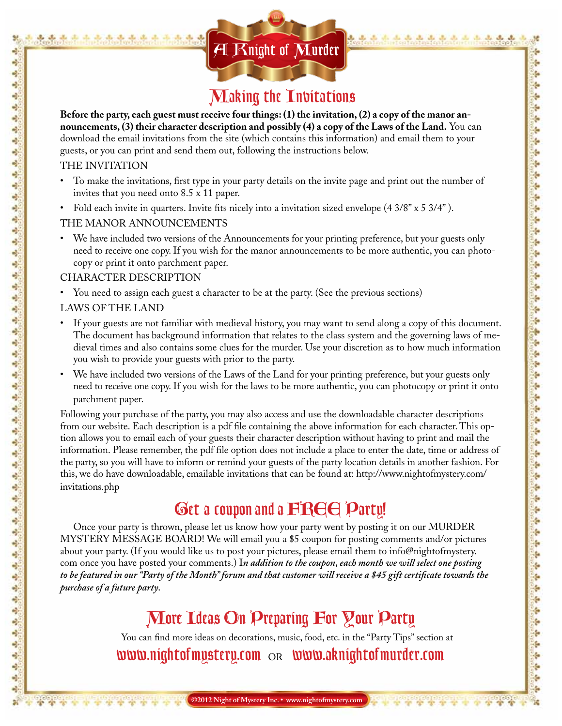# $\overline{\mathbf{H}}$   $\overline{\mathbf{K}}$ night of  $\overline{\mathbf{M}}$ urder

#### Making the Invitations

ţ,

ţ.

ţ,

ţ.

h

ş,

ķ.

ĝ.

ş.

÷

ţ. ş.

ş.

ŀ

ŀ

ç.

÷

÷

ţ.

ţ.

ş.

h

ţ.

ŝ,

ş.

ş.

ś.

é

ţ.

÷

ş.

ę.

**Before the party, each guest must receive four things: (1) the invitation, (2) a copy of the manor announcements, (3) their character description and possibly (4) a copy of the Laws of the Land.** You can download the email invitations from the site (which contains this information) and email them to your guests, or you can print and send them out, following the instructions below.

#### THE INVITATION

a) ÷

a) ÷ ÷ پ Ą ÷ d, ÷ ą, a) ÷ ÷ ą, Ą ÷ ÷

÷ ÷ ÷

Ą

Ą

峙

۹

÷

÷

4

÷

4

٩ ٥

Ą

÷

۵

٩

Ą

4

ą,

۵ ٩ ٩

٠

÷

÷ ٩

ò,

٠

۹

٩ ۹ ٩

÷

4

ą, ۹

÷ ۹

- To make the invitations, first type in your party details on the invite page and print out the number of invites that you need onto 8.5 x 11 paper.
- Fold each invite in quarters. Invite fits nicely into a invitation sized envelope (4 3/8" x 5 3/4").

#### THE MANOR ANNOUNCEMENTS

• We have included two versions of the Announcements for your printing preference, but your guests only need to receive one copy. If you wish for the manor announcements to be more authentic, you can photocopy or print it onto parchment paper.

#### Character Description

• You need to assign each guest a character to be at the party. (See the previous sections)

#### Laws of the land

- If your guests are not familiar with medieval history, you may want to send along a copy of this document. The document has background information that relates to the class system and the governing laws of medieval times and also contains some clues for the murder. Use your discretion as to how much information you wish to provide your guests with prior to the party.
- We have included two versions of the Laws of the Land for your printing preference, but your guests only need to receive one copy. If you wish for the laws to be more authentic, you can photocopy or print it onto parchment paper.

Following your purchase of the party, you may also access and use the downloadable character descriptions from our website. Each description is a pdf file containing the above information for each character. This option allows you to email each of your guests their character description without having to print and mail the information. Please remember, the pdf file option does not include a place to enter the date, time or address of the party, so you will have to inform or remind your guests of the party location details in another fashion. For this, we do have downloadable, emailable invitations that can be found at: http://www.nightofmystery.com/ invitations.php

#### Get a coupon and a **FREE** Party!

Once your party is thrown, please let us know how your party went by posting it on our MURDER MYSTERY MESSAGE BOARD! We will email you a \$5 coupon for posting comments and/or pictures about your party. (If you would like us to post your pictures, please email them to info@nightofmystery. com once you have posted your comments.) I*n addition to the coupon, each month we will select one posting to be featured in our "Party of the Month" forum and that customer will receive a \$45 gift certificate towards the purchase of a future party.* 

### More Ideas On Preparing For Your Party

You can find more ideas on decorations, music, food, etc. in the "Party Tips" section at  $www.night of mystery.com  $OR$   $www.aking htof (m)$$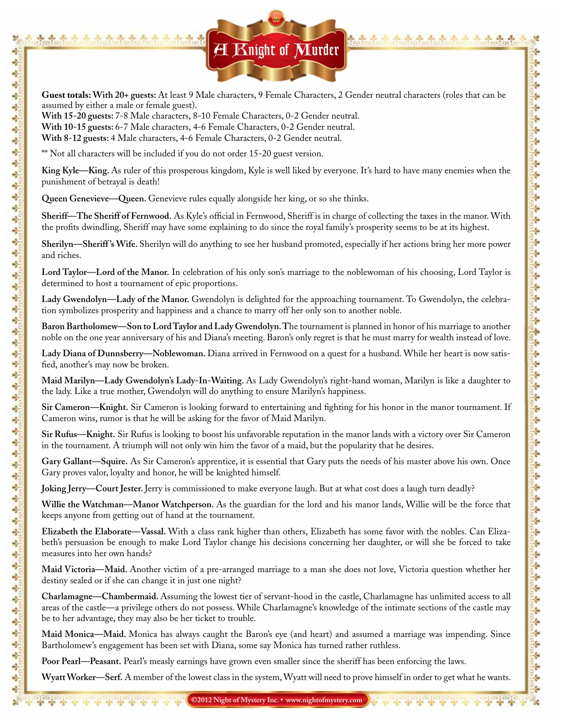

**Guest totals: With 20+ guests:** At least 9 Male characters, 9 Female Characters, 2 Gender neutral characters (roles that can be assumed by either a male or female guest).

**With 15-20 guests:** 7-8 Male characters, 8-10 Female Characters, 0-2 Gender neutral.

**With 10-15 guests:** 6-7 Male characters, 4-6 Female Characters, 0-2 Gender neutral.

**With 8-12 guests:** 4 Male characters, 4-6 Female Characters, 0-2 Gender neutral.

\*\* Not all characters will be included if you do not order 15-20 guest version.

al. ÷ e) ÷ ÷ ÷, ą,

 $\mathcal{A}^0$ 

Ą, Ą.

Ą. 4 ą,

 $\frac{1}{2}$ 

 $\frac{1}{2}$ 

 $\frac{1}{2}$ 

÷

4

÷

÷

÷

 $\frac{1}{2}$ 

 $\frac{1}{2}$ 

 $\mathbf{a}_2^{\mathbf{a}}$  .

÷

4

4

 $\frac{1}{2}$ 

÷,

ą,

÷,

 $\frac{1}{2}$ 

÷.

÷

 $\frac{1}{2}$ 

÷,

÷

÷,

÷,

÷

÷

÷,

 $\frac{1}{2}$ 

 $\frac{1}{2}$ 

÷

ني.<br>مو

÷

ą.

 $\frac{1}{2}$ 

÷

嗜

4,

ą, 4

e).

**King Kyle—King.** As ruler of this prosperous kingdom, Kyle is well liked by everyone. It's hard to have many enemies when the punishment of betrayal is death!

**Queen Genevieve—Queen.** Genevieve rules equally alongside her king, or so she thinks.

**Sheriff—The Sheriff of Fernwood.** As Kyle's official in Fernwood, Sheriff is in charge of collecting the taxes in the manor. With the profits dwindling, Sheriff may have some explaining to do since the royal family's prosperity seems to be at its highest.

**Sherilyn—Sheriff 's Wife.** Sherilyn will do anything to see her husband promoted, especially if her actions bring her more power and riches.

**Lord Taylor—Lord of the Manor.** In celebration of his only son's marriage to the noblewoman of his choosing, Lord Taylor is determined to host a tournament of epic proportions.

**Lady Gwendolyn—Lady of the Manor.** Gwendolyn is delighted for the approaching tournament. To Gwendolyn, the celebration symbolizes prosperity and happiness and a chance to marry off her only son to another noble.

**Baron Bartholomew—Son to Lord Taylor and Lady Gwendolyn. T**he tournament is planned in honor of his marriage to another noble on the one year anniversary of his and Diana's meeting. Baron's only regret is that he must marry for wealth instead of love.

**Lady Diana of Dunnsberry—Noblewoman.** Diana arrived in Fernwood on a quest for a husband. While her heart is now satisfied, another's may now be broken.

**Maid Marilyn—Lady Gwendolyn's Lady-In-Waiting.** As Lady Gwendolyn's right-hand woman, Marilyn is like a daughter to the lady. Like a true mother, Gwendolyn will do anything to ensure Marilyn's happiness.

**Sir Cameron—Knight.** Sir Cameron is looking forward to entertaining and fighting for his honor in the manor tournament. If Cameron wins, rumor is that he will be asking for the favor of Maid Marilyn.

**Sir Rufus—Knight.** Sir Rufus is looking to boost his unfavorable reputation in the manor lands with a victory over Sir Cameron in the tournament. A triumph will not only win him the favor of a maid, but the popularity that he desires.

**Gary Gallant—Squire.** As Sir Cameron's apprentice, it is essential that Gary puts the needs of his master above his own. Once Gary proves valor, loyalty and honor, he will be knighted himself.

**Joking Jerry—Court Jester.** Jerry is commissioned to make everyone laugh. But at what cost does a laugh turn deadly?

**Willie the Watchman—Manor Watchperson.** As the guardian for the lord and his manor lands, Willie will be the force that keeps anyone from getting out of hand at the tournament.

**Elizabeth the Elaborate—Vassal.** With a class rank higher than others, Elizabeth has some favor with the nobles. Can Elizabeth's persuasion be enough to make Lord Taylor change his decisions concerning her daughter, or will she be forced to take measures into her own hands?

**Maid Victoria—Maid.** Another victim of a pre-arranged marriage to a man she does not love, Victoria question whether her destiny sealed or if she can change it in just one night?

**Charlamagne—Chambermaid.** Assuming the lowest tier of servant-hood in the castle, Charlamagne has unlimited access to all areas of the castle—a privilege others do not possess. While Charlamagne's knowledge of the intimate sections of the castle may be to her advantage, they may also be her ticket to trouble.

**Maid Monica—Maid.** Monica has always caught the Baron's eye (and heart) and assumed a marriage was impending. Since Bartholomew's engagement has been set with Diana, some say Monica has turned rather ruthless.

**Poor Pearl—Peasant.** Pearl's measly earnings have grown even smaller since the sheriff has been enforcing the laws.

**Wyatt Worker—Serf.** A member of the lowest class in the system, Wyatt will need to prove himself in order to get what he wants.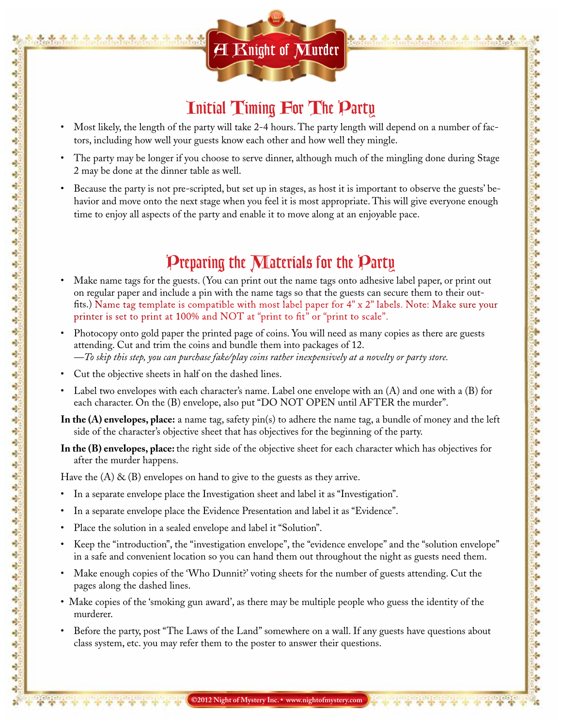

#### Initial Timing For The Party

- Most likely, the length of the party will take 2-4 hours. The party length will depend on a number of factors, including how well your guests know each other and how well they mingle.
- The party may be longer if you choose to serve dinner, although much of the mingling done during Stage 2 may be done at the dinner table as well.
- Because the party is not pre-scripted, but set up in stages, as host it is important to observe the guests' behavior and move onto the next stage when you feel it is most appropriate. This will give everyone enough time to enjoy all aspects of the party and enable it to move along at an enjoyable pace.

#### Preparing the Materials for the Party

- Make name tags for the guests. (You can print out the name tags onto adhesive label paper, or print out on regular paper and include a pin with the name tags so that the guests can secure them to their outfits.) Name tag template is compatible with most label paper for 4" x 2" labels. Note: Make sure your printer is set to print at 100% and NOT at "print to fit" or "print to scale".
- Photocopy onto gold paper the printed page of coins. You will need as many copies as there are guests attending. Cut and trim the coins and bundle them into packages of 12. *—To skip this step, you can purchase fake/play coins rather inexpensively at a novelty or party store.*
- Cut the objective sheets in half on the dashed lines.

a) ÷

ą ÷

÷ پ ÷

÷

Ą

÷

ą,

ağ. ÷

÷

Ą. ٩ ÷

ś,

d,

÷ ÷ Ą Ą 峙

÷ ÷ ÷ ÷

÷

٩

٩

۹ Ą

٩

٩

Ą

Ą

4

Ą

٩

÷

Ą

Ą

÷

÷

٩

۳

۵

۹

٩ ÷,

Ą

4

4

ą,

۹

e). ÷,

- Label two envelopes with each character's name. Label one envelope with an (A) and one with a (B) for each character. On the (B) envelope, also put "DO NOT OPEN until AFTER the murder".
- **In the (A) envelopes, place:** a name tag, safety pin(s) to adhere the name tag, a bundle of money and the left side of the character's objective sheet that has objectives for the beginning of the party.
- **In the (B) envelopes, place:** the right side of the objective sheet for each character which has objectives for after the murder happens.

Have the  $(A)$  &  $(B)$  envelopes on hand to give to the guests as they arrive.

- In a separate envelope place the Investigation sheet and label it as "Investigation".
- In a separate envelope place the Evidence Presentation and label it as "Evidence".
- Place the solution in a sealed envelope and label it "Solution".
- Keep the "introduction", the "investigation envelope", the "evidence envelope" and the "solution envelope" in a safe and convenient location so you can hand them out throughout the night as guests need them.
- Make enough copies of the 'Who Dunnit?' voting sheets for the number of guests attending. Cut the pages along the dashed lines.
- Make copies of the 'smoking gun award', as there may be multiple people who guess the identity of the murderer.
- Before the party, post "The Laws of the Land" somewhere on a wall. If any guests have questions about class system, etc. you may refer them to the poster to answer their questions.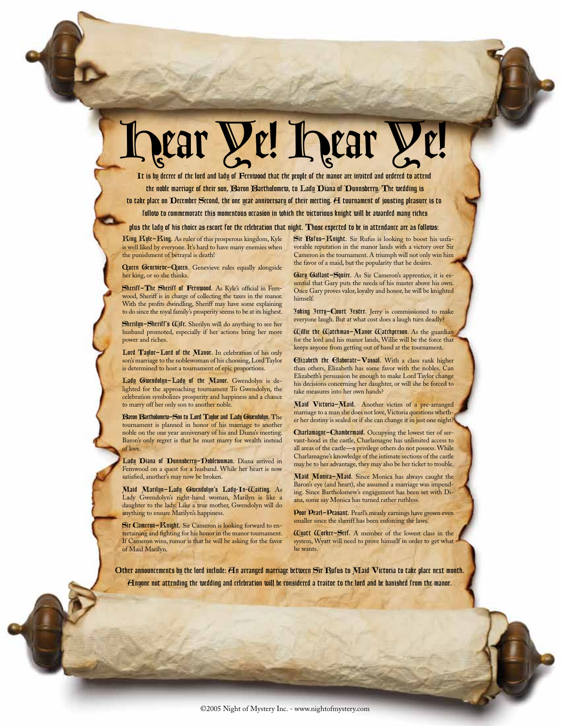# hear **Ye! hear**

It is by decree of the lord and lady of Fernwood that the people of the manor are invited and ordered to attend the noble marriage of their son, Baron Bartholomew, to Lady Diana of Dunnsberry. The wedding is to take place on December Second, the one year anniversary of their meeting. A tournament of jousting pleasure is to

follow to commemorate this momentous occasion in which the victorious knight will be awarded many riches

plus the lady of his choice as escort for the celebration that night. Those expected to be in attendance are as follows:

King Kyle—King. As ruler of this prosperous kingdom, Kyle is well liked by everyone. It's hard to have many enemies when the punishment of betrayal is death!

Queen Genevieve-Queen. Genevieve rules equally alongside her king, or so she thinks.

Sheriff—The Sheriff of Fernwood. As Kyle's official in Fernwood, Sheriff is in charge of collecting the taxes in the manor. With the profits dwindling, Sheriff may have some explaining to do since the royal family's prosperity seems to be at its highest.

Sherilyn—Sheriff's Wife. Sherilyn will do anything to see her husband promoted, especially if her actions bring her more power and riches.

Lord Taylor—Lord of the Manor. In celebration of his only son's marriage to the noblewoman of his choosing, Lord Taylor is determined to host a tournament of epic proportions.

Lady Gwendolyn—Lady of the Manor. Gwendolyn is delighted for the approaching tournament To Gwendolyn, the celebration symbolizes prosperity and happiness and a chance to marry off her only son to another noble.

Baron Bartholomew—Son to Lord Taylor and Lady Gwendolyn. **T**he tournament is planned in honor of his marriage to another noble on the one year anniversary of his and Diana's meeting. Baron's only regret is that he must marry for wealth instead of love.

Lady Diana of Dunnsberry–Doblewoman. Diana arrived in Fernwood on a quest for a husband. While her heart is now satisfied, another's may now be broken.

Maid Marilyn—Lady Gwendolyn's Lady-In-Waiting. As Lady Gwendolyn's right-hand woman, Marilyn is like a daughter to the lady. Like a true mother, Gwendolyn will do anything to ensure Marilyn's happiness.

Sir Cameron—Knight. Sir Cameron is looking forward to entertaining and fighting for his honor in the manor tournament. If Cameron wins, rumor is that he will be asking for the favor of Maid Marilyn.

Sir Rufus—Knight. Sir Rufus is looking to boost his unfavorable reputation in the manor lands with a victory over Sir Cameron in the tournament. A triumph will not only win him the favor of a maid, but the popularity that he desires.

Gary Gallant-Squirt. As Sir Cameron's apprentice, it is essential that Gary puts the needs of his master above his own. Once Gary proves valor, loyalty and honor, he will be knighted himself.

Joking Jerry—Court Jester. Jerry is commissioned to make everyone laugh. But at what cost does a laugh turn deadly?

Willie the Watchman—Manor Watchperson. As the guardian for the lord and his manor lands, Willie will be the force that keeps anyone from getting out of hand at the tournament.

Elizabeth the Elaborate—Vassal. With a class rank higher than others, Elizabeth has some favor with the nobles. Can Elizabeth's persuasion be enough to make Lord Taylor change his decisions concerning her daughter, or will she be forced to take measures into her own hands?

Maid Victoria-Maid. Another victim of a pre-arranged marriage to a man she does not love, Victoria questions whether her destiny is sealed or if she can change it in just one night?

Charlamagne—Chambermaid. Occupying the lowest tier of servant-hood in the castle, Charlamagne has unlimited access to all areas of the castle—a privilege others do not possess. While Charlamagne's knowledge of the intimate sections of the castle may be to her advantage, they may also be her ticket to trouble.

Maid Monica-Maid. Since Monica has always caught the Baron's eye (and heart), she assumed a marriage was impending. Since Bartholomew's engagement has been set with Diana, some say Monica has turned rather ruthless.

Poor Ptarl-Ptasant. Pearl's measly earnings have grown even smaller since the sheriff has been enforcing the laws.

Wyatt Worker—Serf. A member of the lowest class in the system, Wyatt will need to prove himself in order to get what he wants.

Other announcements by the lord include: An arranged marriage between Sir Rufus to Maid Victoria to take place next month. Anyone not attending the wedding and celebration will be considered a traitor to the lord and be banished from the manor.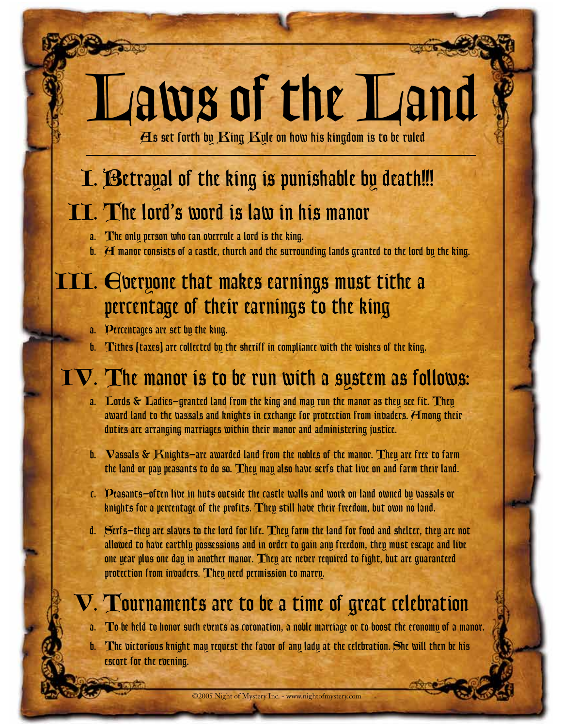# Laws of the Land

As set forth by King Kyle on how his kingdom is to be ruled

# I. Betrayal of the king is punishable by death!!!

### II. The lord's word is law in his manor

- a. The only person who can overrule a lord is the king.
- **manor consists of a castle, church and the surrounding lands granted to the lord by the king.**

### III. Everyone that makes earnings must tithe a percentage of their earnings to the king

- a. Percentages are set by the king.
- b. Tithes (taxes) are collected by the sheriff in compliance with the wishes of the king.

### $\mathbf{V}.$  The manor is to be run with a system as follows:

- a. Lords  $\&$  Ladies—granted land from the king and may run the manor as they see fit. They award land to the vassals and knights in exchange for protection from invaders.  $\boldsymbol{H}$ mong their duties are arranging marriages within their manor and administering justice.
- b. Vassals & Knights—are awarded land from the nobles of the manor. They are free to farm the land or pay peasants to do so. They may also have serfs that live on and farm their land.
- c. Peasants—often live in huts outside the castle walls and work on land owned by vassals or knights for a percentage of the profits. They still have their freedom, but own no land.
- d. Serfs—they are slaves to the lord for life. They farm the land for food and shelter, they are not allowed to have earthly possessions and in order to gain any freedom, they must escape and live one year plus one day in another manor. They are never required to fight, but are guaranteed protection from invaders. They need permission to marry.

# V. Tournaments are to be a time of great celebration

a. To be held to honor such events as coronation, a noble marriage or to boost the economy of a manor.

b. The victorious knight may request the favor of any lady at the celebration. She will then be his escort for the evening.

©2005 Night of Mystery Inc. - www.nightofmystery.com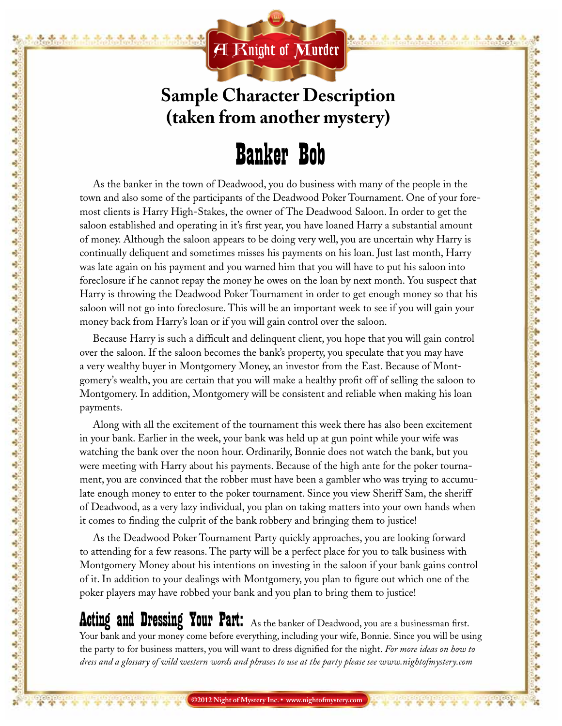

4 ÷

ą ÷ ÷ ۵ ÷ ÷ d, Ą ą, ağ. ÷ ÷ Ą. ٩ ÷ ÷

d, ÷ ÷ Ą Ą

吲

÷ ÷ ÷ ÷ ÷

٩

٩

۹ Ą

÷

٩

÷

Ą

4

ą ٩ ÷ Ą

Ą

÷

÷

٩

۳

۵

÷

٩ ۹ Ą

÷

4

ą,

۹

e).

÷,

### **Sample Character Description (taken from another mystery)**

# Banker Bob

As the banker in the town of Deadwood, you do business with many of the people in the town and also some of the participants of the Deadwood Poker Tournament. One of your foremost clients is Harry High-Stakes, the owner of The Deadwood Saloon. In order to get the saloon established and operating in it's first year, you have loaned Harry a substantial amount of money. Although the saloon appears to be doing very well, you are uncertain why Harry is continually deliquent and sometimes misses his payments on his loan. Just last month, Harry was late again on his payment and you warned him that you will have to put his saloon into foreclosure if he cannot repay the money he owes on the loan by next month. You suspect that Harry is throwing the Deadwood Poker Tournament in order to get enough money so that his saloon will not go into foreclosure. This will be an important week to see if you will gain your money back from Harry's loan or if you will gain control over the saloon.

Because Harry is such a difficult and delinquent client, you hope that you will gain control over the saloon. If the saloon becomes the bank's property, you speculate that you may have a very wealthy buyer in Montgomery Money, an investor from the East. Because of Montgomery's wealth, you are certain that you will make a healthy profit off of selling the saloon to Montgomery. In addition, Montgomery will be consistent and reliable when making his loan payments.

Along with all the excitement of the tournament this week there has also been excitement in your bank. Earlier in the week, your bank was held up at gun point while your wife was watching the bank over the noon hour. Ordinarily, Bonnie does not watch the bank, but you were meeting with Harry about his payments. Because of the high ante for the poker tournament, you are convinced that the robber must have been a gambler who was trying to accumulate enough money to enter to the poker tournament. Since you view Sheriff Sam, the sheriff of Deadwood, as a very lazy individual, you plan on taking matters into your own hands when it comes to finding the culprit of the bank robbery and bringing them to justice!

As the Deadwood Poker Tournament Party quickly approaches, you are looking forward to attending for a few reasons. The party will be a perfect place for you to talk business with Montgomery Money about his intentions on investing in the saloon if your bank gains control of it. In addition to your dealings with Montgomery, you plan to figure out which one of the poker players may have robbed your bank and you plan to bring them to justice!

Acting and Dressing Your Part: As the banker of Deadwood, you are a businessman first. Your bank and your money come before everything, including your wife, Bonnie. Since you will be using the party to for business matters, you will want to dress dignified for the night. *For more ideas on how to dress and a glossary of wild western words and phrases to use at the party please see www.nightofmystery.com*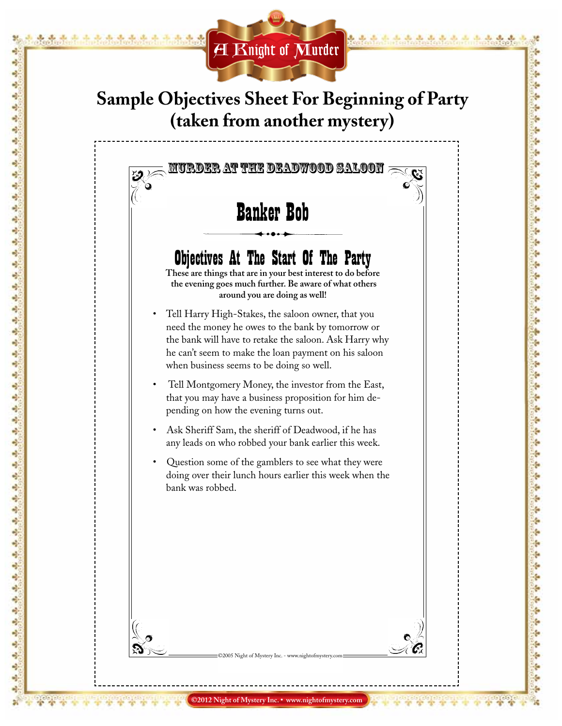

÷ a) a) ÷ پ

ağ. ą Ą ą, a) ÷ Ą à, Ą Ą ś, Ą Ą Ą Ą ą Ą Ą à, Ą ÷ ÷ Ą ٩ ۹ Ą Ą ٩ Ą Ą ÷ Ą Ą ÷ ÷ Ą ÷ 馬 赤 ą ۵ Ą ÷ Ą Ą ÷ ٩ ą, ۹ ÷

#### **Sample Objectives Sheet For Beginning of Party (taken from another mystery)**

#### Murder at the Deadwood Saloon

## Banker Bob

#### Objectives At The Start Of The Party

**These are things that are in your best interest to do before the evening goes much further. Be aware of what others around you are doing as well!**

- Tell Harry High-Stakes, the saloon owner, that you need the money he owes to the bank by tomorrow or the bank will have to retake the saloon. Ask Harry why he can't seem to make the loan payment on his saloon when business seems to be doing so well.
- Tell Montgomery Money, the investor from the East, that you may have a business proposition for him depending on how the evening turns out.
- Ask Sheriff Sam, the sheriff of Deadwood, if he has any leads on who robbed your bank earlier this week.
- Question some of the gamblers to see what they were doing over their lunch hours earlier this week when the bank was robbed.

light of Mystery Inc.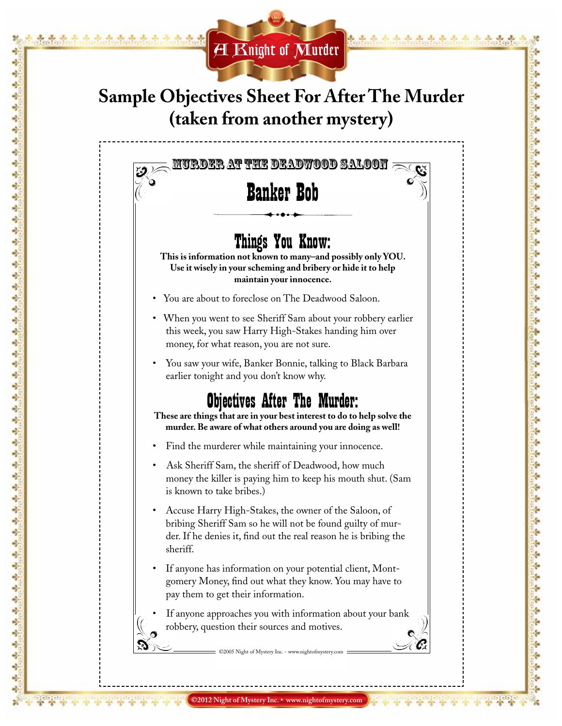

÷ a)

Ą ą

Ą ٥

۵

÷ ÷ Ą ÷ ÷ Ą Ą 峙 ۹

÷ ÷ ÷

٩ ٥

÷ ۵

÷ 4 Ą ۵ ٩ Ą ٠ ÷ Ą ٩ ò, ۹ Ą ٩ ٩ ٩ ÷ ٩

۹

### **Sample Objectives Sheet For After The Murder (taken from another mystery)**

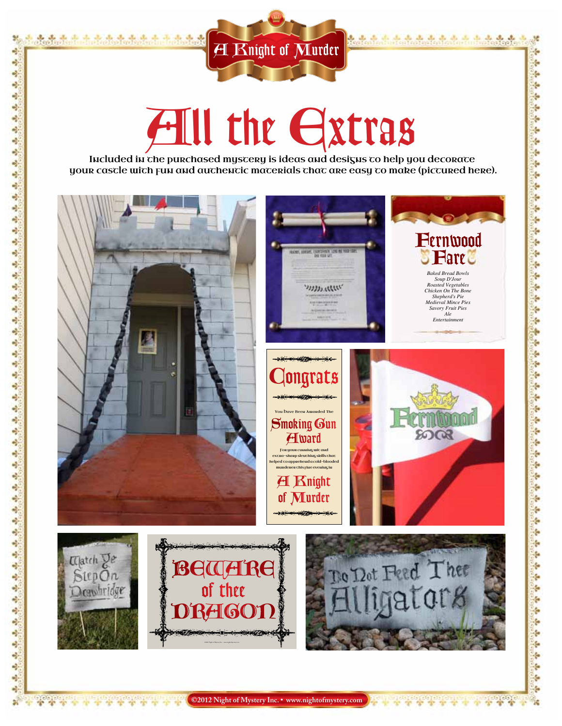

عالم عالم عالم

de de de de de de de de de de de

÷

ģ.

ţ.

ţ,

ş.

ģ.

ç.

ţ.

ç.

ģ.

ţ.

ţ,

4

ţ.

Ļ,

ģ.

ţ.

ķ.

ţ.

ģ.

ç,

ţ.

ŀ

ş.

ķ.

ş.

÷

ş.

ŀ

ŀ

ŀ

ç.

÷

÷

é

÷

ę.

ŀ

ţ.

ţ.

÷

h

÷

÷

ş.

ś.

Ģ

Ģ

é

ş.

÷

ę.

ę.

ķ.

ģ.

ç,

Ñ. ÷

alogic<br>Se de

¥

Ŧ

ngi

製

 $\frac{1}{2}$ 

÷

o)

÷

ą,

٩

Ą

 $\frac{1}{2}$ 

Ą

Ą

d,

충

Ą

÷

a)

Ą

d,

÷,

Ą,

÷,

Ą.

÷

ą.

a)

÷,

ė, a)

噪

e)

Ą

ą, ٩

Ą

d,

۵

Ą

e)

÷

÷,

٩

÷

÷

÷,

÷,

 $\frac{1}{2}$ 

 $\mathbf{e}_2^{\mathbf{S}}$ 

ą

۵

ą.

٩

e)

 $\frac{1}{2}$ 

 $\frac{1}{2}$ 

٩

Ą

٩

e).

٠ļ.

 $\mathbf{a}^{\mathbf{a}}$ 

ą

ally also also an all also also also also also also

# All the Extras

Included in the purchased mystery is ideas and designs to help you decorate your castle with fun and authentic materials that are easy to make (pictured here).



**©2012 Night of Mystery Inc. • www.nightofmystery.com**